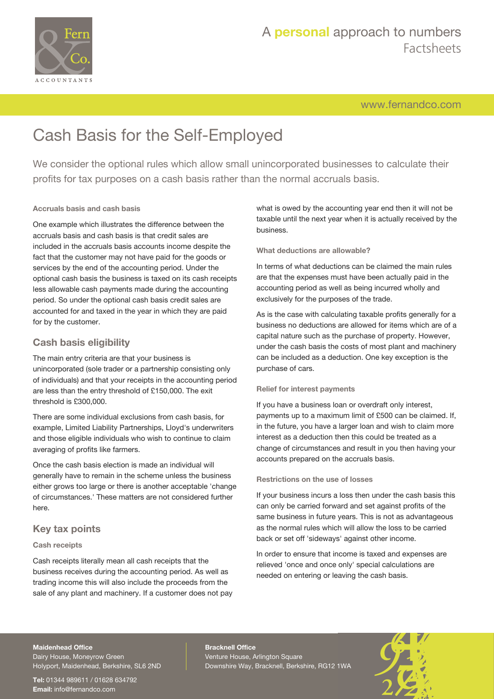

# A **personal** approach to numbers Factsheets

[www.fernandco.com](http://www.fernandco.com)

# Cash Basis for the Self-Employed

We consider the optional rules which allow small unincorporated businesses to calculate their profits for tax purposes on a cash basis rather than the normal accruals basis.

#### **Accruals basis and cash basis**

One example which illustrates the difference between the accruals basis and cash basis is that credit sales are included in the accruals basis accounts income despite the fact that the customer may not have paid for the goods or services by the end of the accounting period. Under the optional cash basis the business is taxed on its cash receipts less allowable cash payments made during the accounting period. So under the optional cash basis credit sales are accounted for and taxed in the year in which they are paid for by the customer.

## **Cash basis eligibility**

The main entry criteria are that your business is unincorporated (sole trader or a partnership consisting only of individuals) and that your receipts in the accounting period are less than the entry threshold of £150,000. The exit threshold is £300,000.

There are some individual exclusions from cash basis, for example, Limited Liability Partnerships, Lloyd's underwriters and those eligible individuals who wish to continue to claim averaging of profits like farmers.

Once the cash basis election is made an individual will generally have to remain in the scheme unless the business either grows too large or there is another acceptable 'change of circumstances.' These matters are not considered further here.

## **Key tax points**

#### **Cash receipts**

Cash receipts literally mean all cash receipts that the business receives during the accounting period. As well as trading income this will also include the proceeds from the sale of any plant and machinery. If a customer does not pay what is owed by the accounting year end then it will not be taxable until the next year when it is actually received by the business.

#### **What deductions are allowable?**

In terms of what deductions can be claimed the main rules are that the expenses must have been actually paid in the accounting period as well as being incurred wholly and exclusively for the purposes of the trade.

As is the case with calculating taxable profits generally for a business no deductions are allowed for items which are of a capital nature such as the purchase of property. However, under the cash basis the costs of most plant and machinery can be included as a deduction. One key exception is the purchase of cars.

#### **Relief for interest payments**

If you have a business loan or overdraft only interest, payments up to a maximum limit of £500 can be claimed. If, in the future, you have a larger loan and wish to claim more interest as a deduction then this could be treated as a change of circumstances and result in you then having your accounts prepared on the accruals basis.

#### **Restrictions on the use of losses**

If your business incurs a loss then under the cash basis this can only be carried forward and set against profits of the same business in future years. This is not as advantageous as the normal rules which will allow the loss to be carried back or set off 'sideways' against other income.

In order to ensure that income is taxed and expenses are relieved 'once and once only' special calculations are needed on entering or leaving the cash basis.

#### **Maidenhead Office**

Dairy House, Moneyrow Green Holyport, Maidenhead, Berkshire, SL6 2ND

**Tel:** 01344 989611 / 01628 634792 **Email:** [info@fernandco.com](mailto:info@fernandco.com)

**Bracknell Office** Venture House, Arlington Square Downshire Way, Bracknell, Berkshire, RG12 1WA